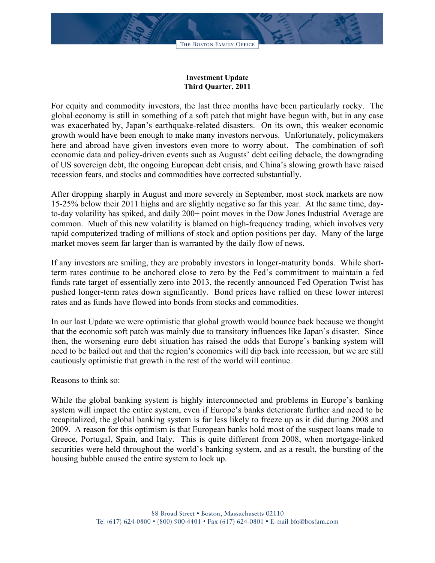## **Investment Update Third Quarter, 2011**

For equity and commodity investors, the last three months have been particularly rocky. The global economy is still in something of a soft patch that might have begun with, but in any case was exacerbated by, Japan's earthquake-related disasters. On its own, this weaker economic growth would have been enough to make many investors nervous. Unfortunately, policymakers here and abroad have given investors even more to worry about. The combination of soft economic data and policy-driven events such as Augusts' debt ceiling debacle, the downgrading of US sovereign debt, the ongoing European debt crisis, and China's slowing growth have raised recession fears, and stocks and commodities have corrected substantially.

After dropping sharply in August and more severely in September, most stock markets are now 15-25% below their 2011 highs and are slightly negative so far this year. At the same time, dayto-day volatility has spiked, and daily 200+ point moves in the Dow Jones Industrial Average are common. Much of this new volatility is blamed on high-frequency trading, which involves very rapid computerized trading of millions of stock and option positions per day. Many of the large market moves seem far larger than is warranted by the daily flow of news.

If any investors are smiling, they are probably investors in longer-maturity bonds. While shortterm rates continue to be anchored close to zero by the Fed's commitment to maintain a fed funds rate target of essentially zero into 2013, the recently announced Fed Operation Twist has pushed longer-term rates down significantly. Bond prices have rallied on these lower interest rates and as funds have flowed into bonds from stocks and commodities.

In our last Update we were optimistic that global growth would bounce back because we thought that the economic soft patch was mainly due to transitory influences like Japan's disaster. Since then, the worsening euro debt situation has raised the odds that Europe's banking system will need to be bailed out and that the region's economies will dip back into recession, but we are still cautiously optimistic that growth in the rest of the world will continue.

## Reasons to think so:

While the global banking system is highly interconnected and problems in Europe's banking system will impact the entire system, even if Europe's banks deteriorate further and need to be recapitalized, the global banking system is far less likely to freeze up as it did during 2008 and 2009. A reason for this optimism is that European banks hold most of the suspect loans made to Greece, Portugal, Spain, and Italy. This is quite different from 2008, when mortgage-linked securities were held throughout the world's banking system, and as a result, the bursting of the housing bubble caused the entire system to lock up.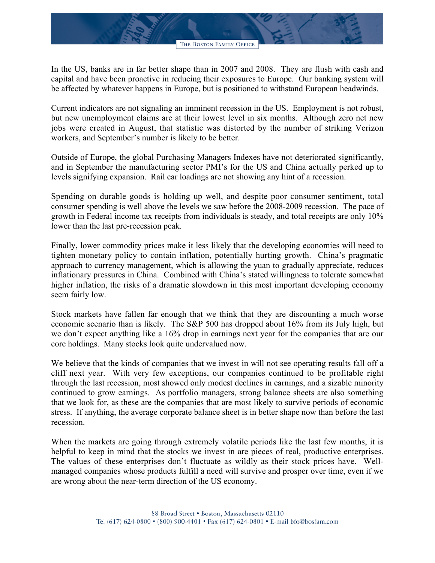In the US, banks are in far better shape than in 2007 and 2008. They are flush with cash and capital and have been proactive in reducing their exposures to Europe. Our banking system will be affected by whatever happens in Europe, but is positioned to withstand European headwinds.

Current indicators are not signaling an imminent recession in the US. Employment is not robust, but new unemployment claims are at their lowest level in six months. Although zero net new jobs were created in August, that statistic was distorted by the number of striking Verizon workers, and September's number is likely to be better.

Outside of Europe, the global Purchasing Managers Indexes have not deteriorated significantly, and in September the manufacturing sector PMI's for the US and China actually perked up to levels signifying expansion. Rail car loadings are not showing any hint of a recession.

Spending on durable goods is holding up well, and despite poor consumer sentiment, total consumer spending is well above the levels we saw before the 2008-2009 recession. The pace of growth in Federal income tax receipts from individuals is steady, and total receipts are only 10% lower than the last pre-recession peak.

Finally, lower commodity prices make it less likely that the developing economies will need to tighten monetary policy to contain inflation, potentially hurting growth. China's pragmatic approach to currency management, which is allowing the yuan to gradually appreciate, reduces inflationary pressures in China. Combined with China's stated willingness to tolerate somewhat higher inflation, the risks of a dramatic slowdown in this most important developing economy seem fairly low.

Stock markets have fallen far enough that we think that they are discounting a much worse economic scenario than is likely. The S&P 500 has dropped about 16% from its July high, but we don't expect anything like a 16% drop in earnings next year for the companies that are our core holdings. Many stocks look quite undervalued now.

We believe that the kinds of companies that we invest in will not see operating results fall off a cliff next year. With very few exceptions, our companies continued to be profitable right through the last recession, most showed only modest declines in earnings, and a sizable minority continued to grow earnings. As portfolio managers, strong balance sheets are also something that we look for, as these are the companies that are most likely to survive periods of economic stress. If anything, the average corporate balance sheet is in better shape now than before the last recession.

When the markets are going through extremely volatile periods like the last few months, it is helpful to keep in mind that the stocks we invest in are pieces of real, productive enterprises. The values of these enterprises don't fluctuate as wildly as their stock prices have. Wellmanaged companies whose products fulfill a need will survive and prosper over time, even if we are wrong about the near-term direction of the US economy.